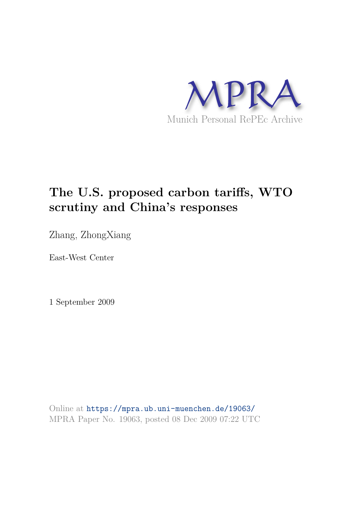

# **The U.S. proposed carbon tariffs, WTO scrutiny and China's responses**

Zhang, ZhongXiang

East-West Center

1 September 2009

Online at https://mpra.ub.uni-muenchen.de/19063/ MPRA Paper No. 19063, posted 08 Dec 2009 07:22 UTC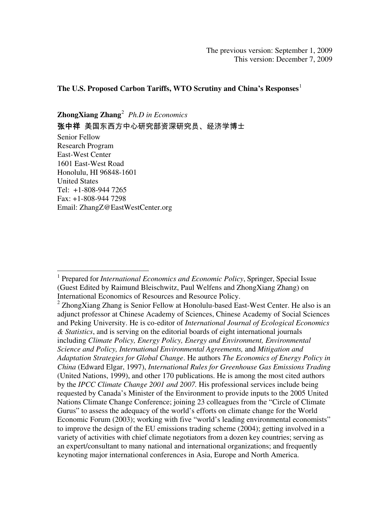The U.S. Proposed Carbon Tariffs, WTO Scrutiny and China's Responses<sup>[1](#page-1-0)</sup>

**ZhongXiang Zhang**[2](#page-1-1) *Ph.D in Economics* 张中祥 美国东西方中心研究部资深研究员、经济学博士

Senior Fellow Research Program East-West Center 1601 East-West Road Honolulu, HI 96848-1601 United States Tel: +1-808-944 7265 Fax: +1-808-944 7298 Email: ZhangZ@EastWestCenter.org

<span id="page-1-0"></span><sup>&</sup>lt;sup>1</sup> Prepared for *International Economics and Economic Policy*, Springer, Special Issue (Guest Edited by Raimund Bleischwitz, Paul Welfens and ZhongXiang Zhang) on International Economics of Resources and Resource Policy.

<span id="page-1-1"></span> $2$  ZhongXiang Zhang is Senior Fellow at Honolulu-based East-West Center. He also is an adjunct professor at Chinese Academy of Sciences, Chinese Academy of Social Sciences and Peking University. He is co-editor of *International Journal of Ecological Economics & Statistics*, and is serving on the editorial boards of eight international journals including *Climate Policy, Energy Policy, Energy and Environment, Environmental Science and Policy, International Environmental Agreements,* and *Mitigation and Adaptation Strategies for Global Change*. He authors *The Economics of Energy Policy in China* (Edward Elgar, 1997), *International Rules for Greenhouse Gas Emissions Trading* (United Nations, 1999), and other 170 publications. He is among the most cited authors by the *IPCC Climate Change 2001 and 2007.* His professional services include being requested by Canada's Minister of the Environment to provide inputs to the 2005 United Nations Climate Change Conference; joining 23 colleagues from the "Circle of Climate Gurus" to assess the adequacy of the world's efforts on climate change for the World Economic Forum (2003); working with five "world's leading environmental economists" to improve the design of the EU emissions trading scheme (2004); getting involved in a variety of activities with chief climate negotiators from a dozen key countries; serving as an expert/consultant to many national and international organizations; and frequently keynoting major international conferences in Asia, Europe and North America.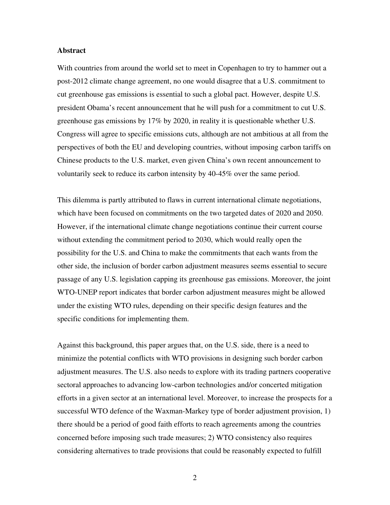#### **Abstract**

With countries from around the world set to meet in Copenhagen to try to hammer out a post-2012 climate change agreement, no one would disagree that a U.S. commitment to cut greenhouse gas emissions is essential to such a global pact. However, despite U.S. president Obama's recent announcement that he will push for a commitment to cut U.S. greenhouse gas emissions by 17% by 2020, in reality it is questionable whether U.S. Congress will agree to specific emissions cuts, although are not ambitious at all from the perspectives of both the EU and developing countries, without imposing carbon tariffs on Chinese products to the U.S. market, even given China's own recent announcement to voluntarily seek to reduce its carbon intensity by 40-45% over the same period.

This dilemma is partly attributed to flaws in current international climate negotiations, which have been focused on commitments on the two targeted dates of 2020 and 2050. However, if the international climate change negotiations continue their current course without extending the commitment period to 2030, which would really open the possibility for the U.S. and China to make the commitments that each wants from the other side, the inclusion of border carbon adjustment measures seems essential to secure passage of any U.S. legislation capping its greenhouse gas emissions. Moreover, the joint WTO-UNEP report indicates that border carbon adjustment measures might be allowed under the existing WTO rules, depending on their specific design features and the specific conditions for implementing them.

Against this background, this paper argues that, on the U.S. side, there is a need to minimize the potential conflicts with WTO provisions in designing such border carbon adjustment measures. The U.S. also needs to explore with its trading partners cooperative sectoral approaches to advancing low-carbon technologies and/or concerted mitigation efforts in a given sector at an international level. Moreover, to increase the prospects for a successful WTO defence of the Waxman-Markey type of border adjustment provision, 1) there should be a period of good faith efforts to reach agreements among the countries concerned before imposing such trade measures; 2) WTO consistency also requires considering alternatives to trade provisions that could be reasonably expected to fulfill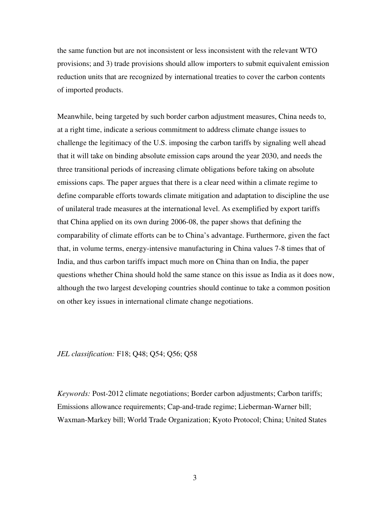the same function but are not inconsistent or less inconsistent with the relevant WTO provisions; and 3) trade provisions should allow importers to submit equivalent emission reduction units that are recognized by international treaties to cover the carbon contents of imported products.

Meanwhile, being targeted by such border carbon adjustment measures, China needs to, at a right time, indicate a serious commitment to address climate change issues to challenge the legitimacy of the U.S. imposing the carbon tariffs by signaling well ahead that it will take on binding absolute emission caps around the year 2030, and needs the three transitional periods of increasing climate obligations before taking on absolute emissions caps. The paper argues that there is a clear need within a climate regime to define comparable efforts towards climate mitigation and adaptation to discipline the use of unilateral trade measures at the international level. As exemplified by export tariffs that China applied on its own during 2006-08, the paper shows that defining the comparability of climate efforts can be to China's advantage. Furthermore, given the fact that, in volume terms, energy-intensive manufacturing in China values 7-8 times that of India, and thus carbon tariffs impact much more on China than on India, the paper questions whether China should hold the same stance on this issue as India as it does now, although the two largest developing countries should continue to take a common position on other key issues in international climate change negotiations.

*JEL classification:* F18; Q48; Q54; Q56; Q58

*Keywords:* Post-2012 climate negotiations; Border carbon adjustments; Carbon tariffs; Emissions allowance requirements; Cap-and-trade regime; Lieberman-Warner bill; Waxman-Markey bill; World Trade Organization; Kyoto Protocol; China; United States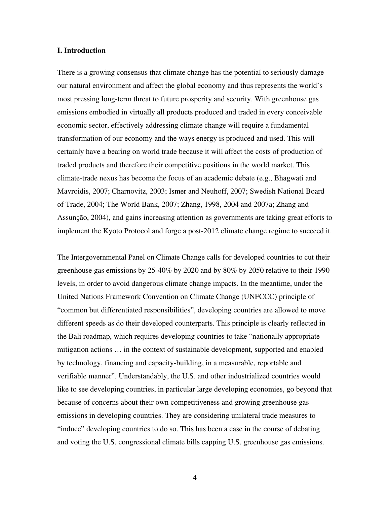#### **I. Introduction**

There is a growing consensus that climate change has the potential to seriously damage our natural environment and affect the global economy and thus represents the world's most pressing long-term threat to future prosperity and security. With greenhouse gas emissions embodied in virtually all products produced and traded in every conceivable economic sector, effectively addressing climate change will require a fundamental transformation of our economy and the ways energy is produced and used. This will certainly have a bearing on world trade because it will affect the costs of production of traded products and therefore their competitive positions in the world market. This climate-trade nexus has become the focus of an academic debate (e.g., Bhagwati and Mavroidis, 2007; Charnovitz, 2003; Ismer and Neuhoff, 2007; Swedish National Board of Trade, 2004; The World Bank, 2007; Zhang, 1998, 2004 and 2007a; Zhang and Assunção, 2004), and gains increasing attention as governments are taking great efforts to implement the Kyoto Protocol and forge a post-2012 climate change regime to succeed it.

The Intergovernmental Panel on Climate Change calls for developed countries to cut their greenhouse gas emissions by 25-40% by 2020 and by 80% by 2050 relative to their 1990 levels, in order to avoid dangerous climate change impacts. In the meantime, under the United Nations Framework Convention on Climate Change (UNFCCC) principle of "common but differentiated responsibilities", developing countries are allowed to move different speeds as do their developed counterparts. This principle is clearly reflected in the Bali roadmap, which requires developing countries to take "nationally appropriate mitigation actions … in the context of sustainable development, supported and enabled by technology, financing and capacity-building, in a measurable, reportable and verifiable manner". Understandably, the U.S. and other industrialized countries would like to see developing countries, in particular large developing economies, go beyond that because of concerns about their own competitiveness and growing greenhouse gas emissions in developing countries. They are considering unilateral trade measures to "induce" developing countries to do so. This has been a case in the course of debating and voting the U.S. congressional climate bills capping U.S. greenhouse gas emissions.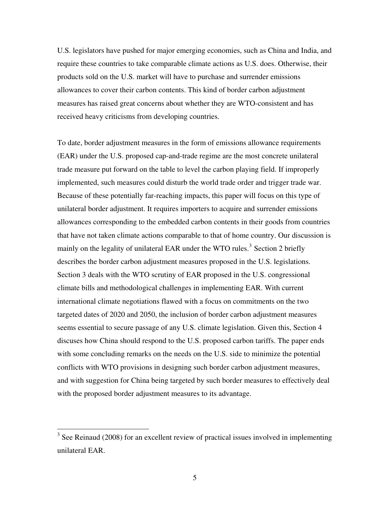U.S. legislators have pushed for major emerging economies, such as China and India, and require these countries to take comparable climate actions as U.S. does. Otherwise, their products sold on the U.S. market will have to purchase and surrender emissions allowances to cover their carbon contents. This kind of border carbon adjustment measures has raised great concerns about whether they are WTO-consistent and has received heavy criticisms from developing countries.

To date, border adjustment measures in the form of emissions allowance requirements (EAR) under the U.S. proposed cap-and-trade regime are the most concrete unilateral trade measure put forward on the table to level the carbon playing field. If improperly implemented, such measures could disturb the world trade order and trigger trade war. Because of these potentially far-reaching impacts, this paper will focus on this type of unilateral border adjustment. It requires importers to acquire and surrender emissions allowances corresponding to the embedded carbon contents in their goods from countries that have not taken climate actions comparable to that of home country. Our discussion is mainly on the legality of unilateral EAR under the WTO rules.<sup>[3](#page-5-0)</sup> Section 2 briefly describes the border carbon adjustment measures proposed in the U.S. legislations. Section 3 deals with the WTO scrutiny of EAR proposed in the U.S. congressional climate bills and methodological challenges in implementing EAR. With current international climate negotiations flawed with a focus on commitments on the two targeted dates of 2020 and 2050, the inclusion of border carbon adjustment measures seems essential to secure passage of any U.S. climate legislation. Given this, Section 4 discuses how China should respond to the U.S. proposed carbon tariffs. The paper ends with some concluding remarks on the needs on the U.S. side to minimize the potential conflicts with WTO provisions in designing such border carbon adjustment measures, and with suggestion for China being targeted by such border measures to effectively deal with the proposed border adjustment measures to its advantage.

<u>.</u>

<span id="page-5-0"></span> $3$  See Reinaud (2008) for an excellent review of practical issues involved in implementing unilateral EAR.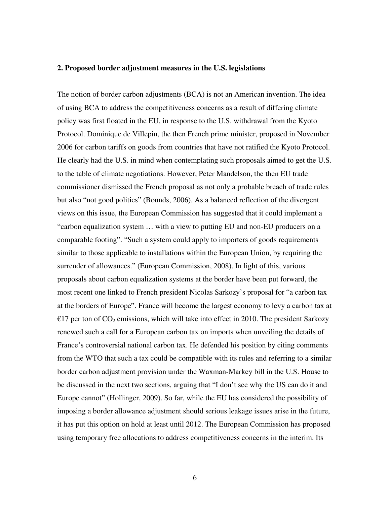#### **2. Proposed border adjustment measures in the U.S. legislations**

The notion of border carbon adjustments (BCA) is not an American invention. The idea of using BCA to address the competitiveness concerns as a result of differing climate policy was first floated in the EU, in response to the U.S. withdrawal from the Kyoto Protocol. Dominique de Villepin, the then French prime minister, proposed in November 2006 for carbon tariffs on goods from countries that have not ratified the Kyoto Protocol. He clearly had the U.S. in mind when contemplating such proposals aimed to get the U.S. to the table of climate negotiations. However, Peter Mandelson, the then EU trade commissioner dismissed the French proposal as not only a probable breach of trade rules but also "not good politics" (Bounds, 2006). As a balanced reflection of the divergent views on this issue, the European Commission has suggested that it could implement a "carbon equalization system … with a view to putting EU and non-EU producers on a comparable footing". "Such a system could apply to importers of goods requirements similar to those applicable to installations within the European Union, by requiring the surrender of allowances." (European Commission, 2008). In light of this, various proposals about carbon equalization systems at the border have been put forward, the most recent one linked to French president Nicolas Sarkozy's proposal for "a carbon tax at the borders of Europe". France will become the largest economy to levy a carbon tax at €17 per ton of  $CO<sub>2</sub>$  emissions, which will take into effect in 2010. The president Sarkozy renewed such a call for a European carbon tax on imports when unveiling the details of France's controversial national carbon tax. He defended his position by citing comments from the WTO that such a tax could be compatible with its rules and referring to a similar border carbon adjustment provision under the Waxman-Markey bill in the U.S. House to be discussed in the next two sections, arguing that "I don't see why the US can do it and Europe cannot" (Hollinger, 2009). So far, while the EU has considered the possibility of imposing a border allowance adjustment should serious leakage issues arise in the future, it has put this option on hold at least until 2012. The European Commission has proposed using temporary free allocations to address competitiveness concerns in the interim. Its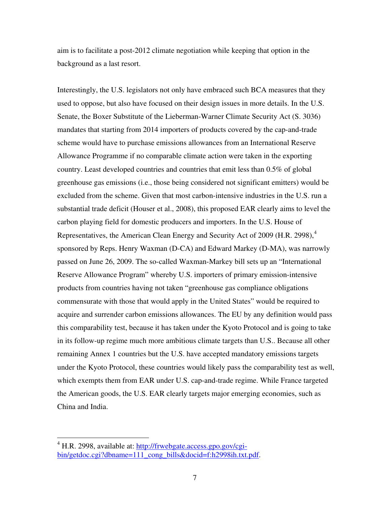aim is to facilitate a post-2012 climate negotiation while keeping that option in the background as a last resort.

Interestingly, the U.S. legislators not only have embraced such BCA measures that they used to oppose, but also have focused on their design issues in more details. In the U.S. Senate, the Boxer Substitute of the Lieberman-Warner Climate Security Act (S. 3036) mandates that starting from 2014 importers of products covered by the cap-and-trade scheme would have to purchase emissions allowances from an International Reserve Allowance Programme if no comparable climate action were taken in the exporting country. Least developed countries and countries that emit less than 0.5% of global greenhouse gas emissions (i.e., those being considered not significant emitters) would be excluded from the scheme. Given that most carbon-intensive industries in the U.S. run a substantial trade deficit (Houser et al., 2008), this proposed EAR clearly aims to level the carbon playing field for domestic producers and importers. In the U.S. House of Representatives, the American Clean Energy and Security Act of 2009 (H.R. 2998), $4$ sponsored by Reps. Henry Waxman (D-CA) and Edward Markey (D-MA), was narrowly passed on June 26, 2009. The so-called Waxman-Markey bill sets up an "International Reserve Allowance Program" whereby U.S. importers of primary emission-intensive products from countries having not taken "greenhouse gas compliance obligations commensurate with those that would apply in the United States" would be required to acquire and surrender carbon emissions allowances. The EU by any definition would pass this comparability test, because it has taken under the Kyoto Protocol and is going to take in its follow-up regime much more ambitious climate targets than U.S.. Because all other remaining Annex 1 countries but the U.S. have accepted mandatory emissions targets under the Kyoto Protocol, these countries would likely pass the comparability test as well, which exempts them from EAR under U.S. cap-and-trade regime. While France targeted the American goods, the U.S. EAR clearly targets major emerging economies, such as China and India.

<u>.</u>

<span id="page-7-0"></span><sup>&</sup>lt;sup>4</sup> H.R. 2998, available at: [http://frwebgate.access.gpo.gov/cgi](http://frwebgate.access.gpo.gov/cgi-bin/getdoc.cgi?dbname=111_cong_bills&docid=f:h2998ih.txt.pdf)[bin/getdoc.cgi?dbname=111\\_cong\\_bills&docid=f:h2998ih.txt.pdf.](http://frwebgate.access.gpo.gov/cgi-bin/getdoc.cgi?dbname=111_cong_bills&docid=f:h2998ih.txt.pdf)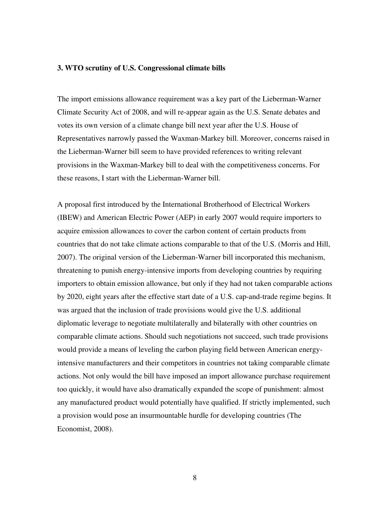#### **3. WTO scrutiny of U.S. Congressional climate bills**

The import emissions allowance requirement was a key part of the Lieberman-Warner Climate Security Act of 2008, and will re-appear again as the U.S. Senate debates and votes its own version of a climate change bill next year after the U.S. House of Representatives narrowly passed the Waxman-Markey bill. Moreover, concerns raised in the Lieberman-Warner bill seem to have provided references to writing relevant provisions in the Waxman-Markey bill to deal with the competitiveness concerns. For these reasons, I start with the Lieberman-Warner bill.

A proposal first introduced by the International Brotherhood of Electrical Workers (IBEW) and American Electric Power (AEP) in early 2007 would require importers to acquire emission allowances to cover the carbon content of certain products from countries that do not take climate actions comparable to that of the U.S. (Morris and Hill, 2007). The original version of the Lieberman-Warner bill incorporated this mechanism, threatening to punish energy-intensive imports from developing countries by requiring importers to obtain emission allowance, but only if they had not taken comparable actions by 2020, eight years after the effective start date of a U.S. cap-and-trade regime begins. It was argued that the inclusion of trade provisions would give the U.S. additional diplomatic leverage to negotiate multilaterally and bilaterally with other countries on comparable climate actions. Should such negotiations not succeed, such trade provisions would provide a means of leveling the carbon playing field between American energyintensive manufacturers and their competitors in countries not taking comparable climate actions. Not only would the bill have imposed an import allowance purchase requirement too quickly, it would have also dramatically expanded the scope of punishment: almost any manufactured product would potentially have qualified. If strictly implemented, such a provision would pose an insurmountable hurdle for developing countries (The Economist, 2008).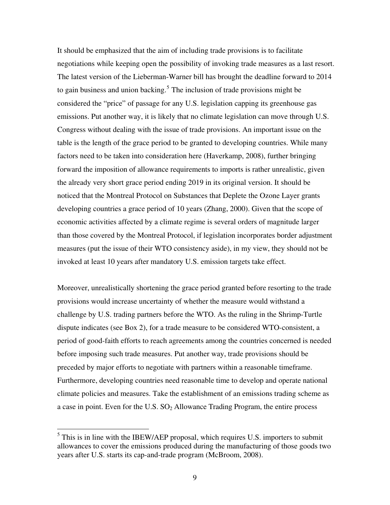It should be emphasized that the aim of including trade provisions is to facilitate negotiations while keeping open the possibility of invoking trade measures as a last resort. The latest version of the Lieberman-Warner bill has brought the deadline forward to 2014 to gain business and union backing.<sup>[5](#page-9-0)</sup> The inclusion of trade provisions might be considered the "price" of passage for any U.S. legislation capping its greenhouse gas emissions. Put another way, it is likely that no climate legislation can move through U.S. Congress without dealing with the issue of trade provisions. An important issue on the table is the length of the grace period to be granted to developing countries. While many factors need to be taken into consideration here (Haverkamp, 2008), further bringing forward the imposition of allowance requirements to imports is rather unrealistic, given the already very short grace period ending 2019 in its original version. It should be noticed that the Montreal Protocol on Substances that Deplete the Ozone Layer grants developing countries a grace period of 10 years (Zhang, 2000). Given that the scope of economic activities affected by a climate regime is several orders of magnitude larger than those covered by the Montreal Protocol, if legislation incorporates border adjustment measures (put the issue of their WTO consistency aside), in my view, they should not be invoked at least 10 years after mandatory U.S. emission targets take effect.

Moreover, unrealistically shortening the grace period granted before resorting to the trade provisions would increase uncertainty of whether the measure would withstand a challenge by U.S. trading partners before the WTO. As the ruling in the Shrimp-Turtle dispute indicates (see Box 2), for a trade measure to be considered WTO-consistent, a period of good-faith efforts to reach agreements among the countries concerned is needed before imposing such trade measures. Put another way, trade provisions should be preceded by major efforts to negotiate with partners within a reasonable timeframe. Furthermore, developing countries need reasonable time to develop and operate national climate policies and measures. Take the establishment of an emissions trading scheme as a case in point. Even for the U.S.  $SO<sub>2</sub>$  Allowance Trading Program, the entire process

<span id="page-9-0"></span> $<sup>5</sup>$  This is in line with the IBEW/AEP proposal, which requires U.S. importers to submit</sup> allowances to cover the emissions produced during the manufacturing of those goods two years after U.S. starts its cap-and-trade program (McBroom, 2008).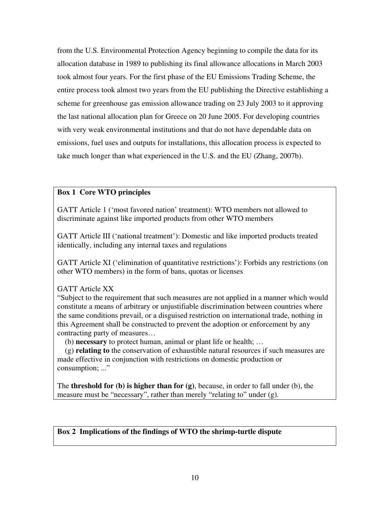from the U.S. Environmental Protection Agency beginning to compile the data for its allocation database in 1989 to publishing its final allowance allocations in March 2003 took almost four years. For the first phase of the EU Emissions Trading Scheme, the entire process took almost two years from the EU publishing the Directive establishing a scheme for greenhouse gas emission allowance trading on 23 July 2003 to it approving the last national allocation plan for Greece on 20 June 2005. For developing countries with very weak environmental institutions and that do not have dependable data on emissions, fuel uses and outputs for installations, this allocation process is expected to take much longer than what experienced in the U.S. and the EU (Zhang, 2007b).

## **Box 1 Core WTO principles**

GATT Article 1 ('most favored nation' treatment): WTO members not allowed to discriminate against like imported products from other WTO members

GATT Article III ('national treatment'): Domestic and like imported products treated identically, including any internal taxes and regulations

GATT Article XI ('elimination of quantitative restrictions'): Forbids any restrictions (on other WTO members) in the form of bans, quotas or licenses

### GATT Article XX

"Subject to the requirement that such measures are not applied in a manner which would constitute a means of arbitrary or unjustifiable discrimination between countries where the same conditions prevail, or a disguised restriction on international trade, nothing in this Agreement shall be constructed to prevent the adoption or enforcement by any contracting party of measures…

(b) **necessary** to protect human, animal or plant life or health; …

 (g) **relating to** the conservation of exhaustible natural resources if such measures are made effective in conjunction with restrictions on domestic production or consumption; ..."

The **threshold for (b) is higher than for (g)**, because, in order to fall under (b), the measure must be "necessary", rather than merely "relating to" under (g).

**Box 2 Implications of the findings of WTO the shrimp-turtle dispute**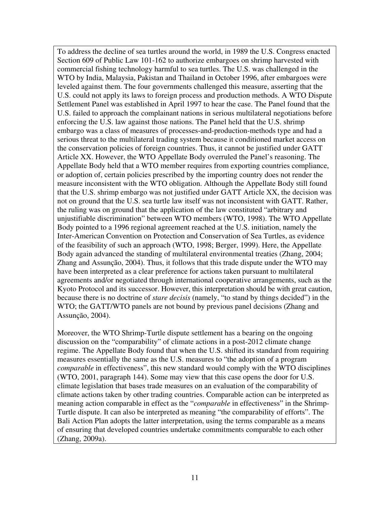To address the decline of sea turtles around the world, in 1989 the U.S. Congress enacted Section 609 of Public Law 101-162 to authorize embargoes on shrimp harvested with commercial fishing technology harmful to sea turtles. The U.S. was challenged in the WTO by India, Malaysia, Pakistan and Thailand in October 1996, after embargoes were leveled against them. The four governments challenged this measure, asserting that the U.S. could not apply its laws to foreign process and production methods. A WTO Dispute Settlement Panel was established in April 1997 to hear the case. The Panel found that the U.S. failed to approach the complainant nations in serious multilateral negotiations before enforcing the U.S. law against those nations. The Panel held that the U.S. shrimp embargo was a class of measures of processes-and-production-methods type and had a serious threat to the multilateral trading system because it conditioned market access on the conservation policies of foreign countries. Thus, it cannot be justified under GATT Article XX. However, the WTO Appellate Body overruled the Panel's reasoning. The Appellate Body held that a WTO member requires from exporting countries compliance, or adoption of, certain policies prescribed by the importing country does not render the measure inconsistent with the WTO obligation. Although the Appellate Body still found that the U.S. shrimp embargo was not justified under GATT Article XX, the decision was not on ground that the U.S. sea turtle law itself was not inconsistent with GATT. Rather, the ruling was on ground that the application of the law constituted "arbitrary and unjustifiable discrimination" between WTO members (WTO, 1998). The WTO Appellate Body pointed to a 1996 regional agreement reached at the U.S. initiation, namely the Inter-American Convention on Protection and Conservation of Sea Turtles, as evidence of the feasibility of such an approach (WTO, 1998; Berger, 1999). Here, the Appellate Body again advanced the standing of multilateral environmental treaties (Zhang, 2004; Zhang and Assunção, 2004). Thus, it follows that this trade dispute under the WTO may have been interpreted as a clear preference for actions taken pursuant to multilateral agreements and/or negotiated through international cooperative arrangements, such as the Kyoto Protocol and its successor. However, this interpretation should be with great caution, because there is no doctrine of *stare decisis* (namely, "to stand by things decided") in the WTO; the GATT/WTO panels are not bound by previous panel decisions (Zhang and Assunção, 2004).

Moreover, the WTO Shrimp-Turtle dispute settlement has a bearing on the ongoing discussion on the "comparability" of climate actions in a post-2012 climate change regime. The Appellate Body found that when the U.S. shifted its standard from requiring measures essentially the same as the U.S. measures to "the adoption of a program *comparable* in effectiveness", this new standard would comply with the WTO disciplines (WTO, 2001, paragraph 144). Some may view that this case opens the door for U.S. climate legislation that bases trade measures on an evaluation of the comparability of climate actions taken by other trading countries. Comparable action can be interpreted as meaning action comparable in effect as the "*comparable* in effectiveness" in the Shrimp-Turtle dispute. It can also be interpreted as meaning "the comparability of efforts". The Bali Action Plan adopts the latter interpretation, using the terms comparable as a means of ensuring that developed countries undertake commitments comparable to each other (Zhang, 2009a).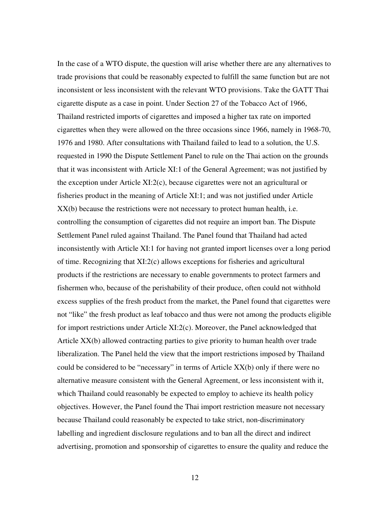In the case of a WTO dispute, the question will arise whether there are any alternatives to trade provisions that could be reasonably expected to fulfill the same function but are not inconsistent or less inconsistent with the relevant WTO provisions. Take the GATT Thai cigarette dispute as a case in point. Under Section 27 of the Tobacco Act of 1966, Thailand restricted imports of cigarettes and imposed a higher tax rate on imported cigarettes when they were allowed on the three occasions since 1966, namely in 1968-70, 1976 and 1980. After consultations with Thailand failed to lead to a solution, the U.S. requested in 1990 the Dispute Settlement Panel to rule on the Thai action on the grounds that it was inconsistent with Article XI:1 of the General Agreement; was not justified by the exception under Article  $XI:2(c)$ , because cigarettes were not an agricultural or fisheries product in the meaning of Article XI:1; and was not justified under Article XX(b) because the restrictions were not necessary to protect human health, i.e. controlling the consumption of cigarettes did not require an import ban. The Dispute Settlement Panel ruled against Thailand. The Panel found that Thailand had acted inconsistently with Article XI:1 for having not granted import licenses over a long period of time. Recognizing that XI:2(c) allows exceptions for fisheries and agricultural products if the restrictions are necessary to enable governments to protect farmers and fishermen who, because of the perishability of their produce, often could not withhold excess supplies of the fresh product from the market, the Panel found that cigarettes were not "like" the fresh product as leaf tobacco and thus were not among the products eligible for import restrictions under Article XI:2(c). Moreover, the Panel acknowledged that Article XX(b) allowed contracting parties to give priority to human health over trade liberalization. The Panel held the view that the import restrictions imposed by Thailand could be considered to be "necessary" in terms of Article XX(b) only if there were no alternative measure consistent with the General Agreement, or less inconsistent with it, which Thailand could reasonably be expected to employ to achieve its health policy objectives. However, the Panel found the Thai import restriction measure not necessary because Thailand could reasonably be expected to take strict, non-discriminatory labelling and ingredient disclosure regulations and to ban all the direct and indirect advertising, promotion and sponsorship of cigarettes to ensure the quality and reduce the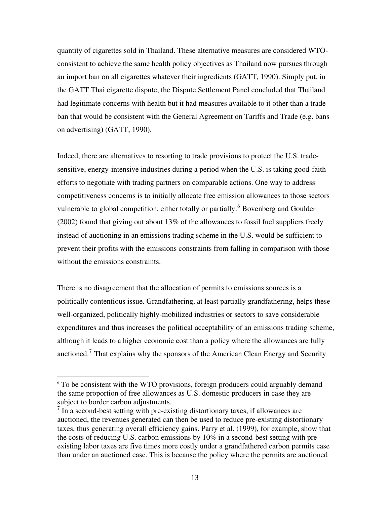quantity of cigarettes sold in Thailand. These alternative measures are considered WTOconsistent to achieve the same health policy objectives as Thailand now pursues through an import ban on all cigarettes whatever their ingredients (GATT, 1990). Simply put, in the GATT Thai cigarette dispute, the Dispute Settlement Panel concluded that Thailand had legitimate concerns with health but it had measures available to it other than a trade ban that would be consistent with the General Agreement on Tariffs and Trade (e.g. bans on advertising) (GATT, 1990).

Indeed, there are alternatives to resorting to trade provisions to protect the U.S. tradesensitive, energy-intensive industries during a period when the U.S. is taking good-faith efforts to negotiate with trading partners on comparable actions. One way to address competitiveness concerns is to initially allocate free emission allowances to those sectors vulnerable to global competition, either totally or partially.<sup>[6](#page-13-0)</sup> Bovenberg and Goulder (2002) found that giving out about 13% of the allowances to fossil fuel suppliers freely instead of auctioning in an emissions trading scheme in the U.S. would be sufficient to prevent their profits with the emissions constraints from falling in comparison with those without the emissions constraints.

There is no disagreement that the allocation of permits to emissions sources is a politically contentious issue. Grandfathering, at least partially grandfathering, helps these well-organized, politically highly-mobilized industries or sectors to save considerable expenditures and thus increases the political acceptability of an emissions trading scheme, although it leads to a higher economic cost than a policy where the allowances are fully auctioned.<sup>[7](#page-13-1)</sup> That explains why the sponsors of the American Clean Energy and Security

<span id="page-13-0"></span><sup>&</sup>lt;sup>6</sup> To be consistent with the WTO provisions, foreign producers could arguably demand the same proportion of free allowances as U.S. domestic producers in case they are subject to border carbon adjustments.

<span id="page-13-1"></span> $<sup>7</sup>$  In a second-best setting with pre-existing distortionary taxes, if allowances are</sup> auctioned, the revenues generated can then be used to reduce pre-existing distortionary taxes, thus generating overall efficiency gains. Parry et al. (1999), for example, show that the costs of reducing U.S. carbon emissions by 10% in a second-best setting with preexisting labor taxes are five times more costly under a grandfathered carbon permits case than under an auctioned case. This is because the policy where the permits are auctioned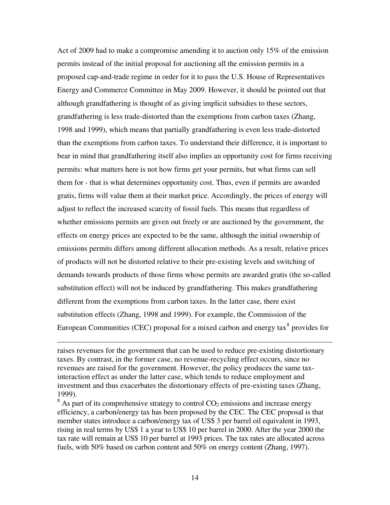Act of 2009 had to make a compromise amending it to auction only 15% of the emission permits instead of the initial proposal for auctioning all the emission permits in a proposed cap-and-trade regime in order for it to pass the U.S. House of Representatives Energy and Commerce Committee in May 2009. However, it should be pointed out that although grandfathering is thought of as giving implicit subsidies to these sectors, grandfathering is less trade-distorted than the exemptions from carbon taxes (Zhang, 1998 and 1999), which means that partially grandfathering is even less trade-distorted than the exemptions from carbon taxes. To understand their difference, it is important to bear in mind that grandfathering itself also implies an opportunity cost for firms receiving permits: what matters here is not how firms get your permits, but what firms can sell them for - that is what determines opportunity cost. Thus, even if permits are awarded gratis, firms will value them at their market price. Accordingly, the prices of energy will adjust to reflect the increased scarcity of fossil fuels. This means that regardless of whether emissions permits are given out freely or are auctioned by the government, the effects on energy prices are expected to be the same, although the initial ownership of emissions permits differs among different allocation methods. As a result, relative prices of products will not be distorted relative to their pre-existing levels and switching of demands towards products of those firms whose permits are awarded gratis (the so-called substitution effect) will not be induced by grandfathering. This makes grandfathering different from the exemptions from carbon taxes. In the latter case, there exist substitution effects (Zhang, 1998 and 1999). For example, the Commission of the European Communities (CEC) proposal for a mixed carbon and energy  $\text{tax}^8$  $\text{tax}^8$  provides for

raises revenues for the government that can be used to reduce pre-existing distortionary taxes. By contrast, in the former case, no revenue-recycling effect occurs, since no revenues are raised for the government. However, the policy produces the same taxinteraction effect as under the latter case, which tends to reduce employment and investment and thus exacerbates the distortionary effects of pre-existing taxes (Zhang, 1999).

<span id="page-14-0"></span> $8$  As part of its comprehensive strategy to control  $CO<sub>2</sub>$  emissions and increase energy efficiency, a carbon/energy tax has been proposed by the CEC. The CEC proposal is that member states introduce a carbon/energy tax of US\$ 3 per barrel oil equivalent in 1993, rising in real terms by US\$ 1 a year to US\$ 10 per barrel in 2000. After the year 2000 the tax rate will remain at US\$ 10 per barrel at 1993 prices. The tax rates are allocated across fuels, with 50% based on carbon content and 50% on energy content (Zhang, 1997).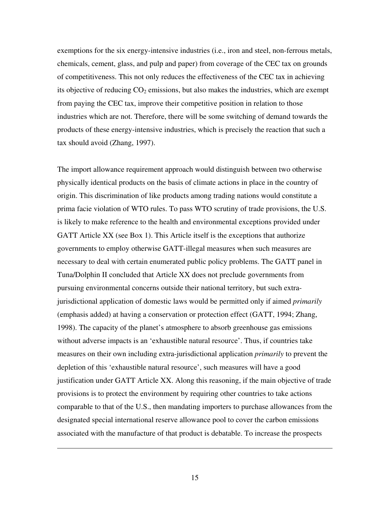exemptions for the six energy-intensive industries (i.e., iron and steel, non-ferrous metals, chemicals, cement, glass, and pulp and paper) from coverage of the CEC tax on grounds of competitiveness. This not only reduces the effectiveness of the CEC tax in achieving its objective of reducing  $CO<sub>2</sub>$  emissions, but also makes the industries, which are exempt from paying the CEC tax, improve their competitive position in relation to those industries which are not. Therefore, there will be some switching of demand towards the products of these energy-intensive industries, which is precisely the reaction that such a tax should avoid (Zhang, 1997).

The import allowance requirement approach would distinguish between two otherwise physically identical products on the basis of climate actions in place in the country of origin. This discrimination of like products among trading nations would constitute a prima facie violation of WTO rules. To pass WTO scrutiny of trade provisions, the U.S. is likely to make reference to the health and environmental exceptions provided under GATT Article XX (see Box 1). This Article itself is the exceptions that authorize governments to employ otherwise GATT-illegal measures when such measures are necessary to deal with certain enumerated public policy problems. The GATT panel in Tuna/Dolphin II concluded that Article XX does not preclude governments from pursuing environmental concerns outside their national territory, but such extrajurisdictional application of domestic laws would be permitted only if aimed *primarily* (emphasis added) at having a conservation or protection effect (GATT, 1994; Zhang, 1998). The capacity of the planet's atmosphere to absorb greenhouse gas emissions without adverse impacts is an 'exhaustible natural resource'. Thus, if countries take measures on their own including extra-jurisdictional application *primarily* to prevent the depletion of this 'exhaustible natural resource', such measures will have a good justification under GATT Article XX. Along this reasoning, if the main objective of trade provisions is to protect the environment by requiring other countries to take actions comparable to that of the U.S., then mandating importers to purchase allowances from the designated special international reserve allowance pool to cover the carbon emissions associated with the manufacture of that product is debatable. To increase the prospects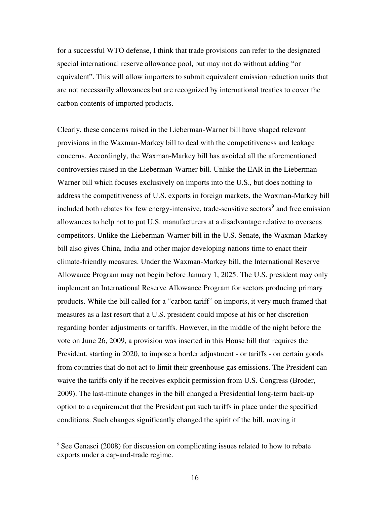for a successful WTO defense, I think that trade provisions can refer to the designated special international reserve allowance pool, but may not do without adding "or equivalent". This will allow importers to submit equivalent emission reduction units that are not necessarily allowances but are recognized by international treaties to cover the carbon contents of imported products.

Clearly, these concerns raised in the Lieberman-Warner bill have shaped relevant provisions in the Waxman-Markey bill to deal with the competitiveness and leakage concerns. Accordingly, the Waxman-Markey bill has avoided all the aforementioned controversies raised in the Lieberman-Warner bill. Unlike the EAR in the Lieberman-Warner bill which focuses exclusively on imports into the U.S., but does nothing to address the competitiveness of U.S. exports in foreign markets, the Waxman-Markey bill included both rebates for few energy-intensive, trade-sensitive sectors<sup>[9](#page-16-0)</sup> and free emission allowances to help not to put U.S. manufacturers at a disadvantage relative to overseas competitors. Unlike the Lieberman-Warner bill in the U.S. Senate, the Waxman-Markey bill also gives China, India and other major developing nations time to enact their climate-friendly measures. Under the Waxman-Markey bill, the International Reserve Allowance Program may not begin before January 1, 2025. The U.S. president may only implement an International Reserve Allowance Program for sectors producing primary products. While the bill called for a "carbon tariff" on imports, it very much framed that measures as a last resort that a U.S. president could impose at his or her discretion regarding border adjustments or tariffs. However, in the middle of the night before the vote on June 26, 2009, a provision was inserted in this House bill that requires the President, starting in 2020, to impose a border adjustment - or tariffs - on certain goods from countries that do not act to limit their greenhouse gas emissions. The President can waive the tariffs only if he receives explicit permission from U.S. Congress (Broder, 2009). The last-minute changes in the bill changed a Presidential long-term back-up option to a requirement that the President put such tariffs in place under the specified conditions. Such changes significantly changed the spirit of the bill, moving it

<u>.</u>

<span id="page-16-0"></span><sup>&</sup>lt;sup>9</sup> See Genasci (2008) for discussion on complicating issues related to how to rebate exports under a cap-and-trade regime.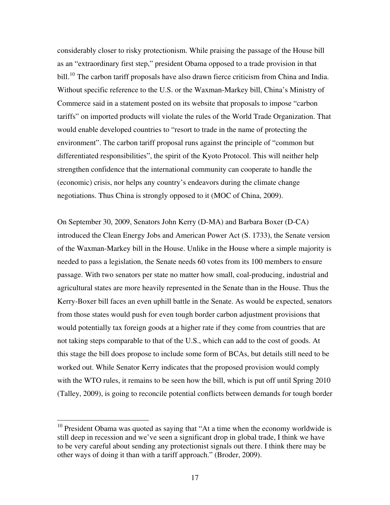considerably closer to risky protectionism. While praising the passage of the House bill as an "extraordinary first step," president Obama opposed to a trade provision in that bill.<sup>[10](#page-17-0)</sup> The carbon tariff proposals have also drawn fierce criticism from China and India. Without specific reference to the U.S. or the Waxman-Markey bill, China's Ministry of Commerce said in a statement posted on its website that proposals to impose "carbon tariffs" on imported products will violate the rules of the World Trade Organization. That would enable developed countries to "resort to trade in the name of protecting the environment". The carbon tariff proposal runs against the principle of "common but differentiated responsibilities", the spirit of the Kyoto Protocol. This will neither help strengthen confidence that the international community can cooperate to handle the (economic) crisis, nor helps any country's endeavors during the climate change negotiations. Thus China is strongly opposed to it (MOC of China, 2009).

On September 30, 2009, Senators John Kerry (D-MA) and Barbara Boxer (D-CA) introduced the Clean Energy Jobs and American Power Act (S. 1733), the Senate version of the Waxman-Markey bill in the House. Unlike in the House where a simple majority is needed to pass a legislation, the Senate needs 60 votes from its 100 members to ensure passage. With two senators per state no matter how small, coal-producing, industrial and agricultural states are more heavily represented in the Senate than in the House. Thus the Kerry-Boxer bill faces an even uphill battle in the Senate. As would be expected, senators from those states would push for even tough border carbon adjustment provisions that would potentially tax foreign goods at a higher rate if they come from countries that are not taking steps comparable to that of the U.S., which can add to the cost of goods. At this stage the bill does propose to include some form of BCAs, but details still need to be worked out. While Senator Kerry indicates that the proposed provision would comply with the WTO rules, it remains to be seen how the bill, which is put off until Spring 2010 (Talley, 2009), is going to reconcile potential conflicts between demands for tough border

<u>.</u>

<span id="page-17-0"></span><sup>&</sup>lt;sup>10</sup> President Obama was quoted as saying that "At a time when the economy worldwide is still deep in [recession](http://topics.nytimes.com/top/reference/timestopics/subjects/r/recession_and_depression/index.html?inline=nyt-classifier) and we've seen a significant drop in global trade, I think we have to be very careful about sending any protectionist signals out there. I think there may be other ways of doing it than with a tariff approach." (Broder, 2009).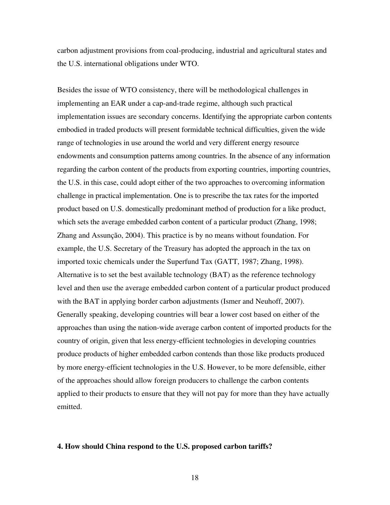carbon adjustment provisions from coal-producing, industrial and agricultural states and the U.S. international obligations under WTO.

Besides the issue of WTO consistency, there will be methodological challenges in implementing an EAR under a cap-and-trade regime, although such practical implementation issues are secondary concerns. Identifying the appropriate carbon contents embodied in traded products will present formidable technical difficulties, given the wide range of technologies in use around the world and very different energy resource endowments and consumption patterns among countries. In the absence of any information regarding the carbon content of the products from exporting countries, importing countries, the U.S. in this case, could adopt either of the two approaches to overcoming information challenge in practical implementation. One is to prescribe the tax rates for the imported product based on U.S. domestically predominant method of production for a like product, which sets the average embedded carbon content of a particular product (Zhang, 1998; Zhang and Assunção, 2004). This practice is by no means without foundation. For example, the U.S. Secretary of the Treasury has adopted the approach in the tax on imported toxic chemicals under the Superfund Tax (GATT, 1987; Zhang, 1998). Alternative is to set the best available technology (BAT) as the reference technology level and then use the average embedded carbon content of a particular product produced with the BAT in applying border carbon adjustments (Ismer and Neuhoff, 2007). Generally speaking, developing countries will bear a lower cost based on either of the approaches than using the nation-wide average carbon content of imported products for the country of origin, given that less energy-efficient technologies in developing countries produce products of higher embedded carbon contends than those like products produced by more energy-efficient technologies in the U.S. However, to be more defensible, either of the approaches should allow foreign producers to challenge the carbon contents applied to their products to ensure that they will not pay for more than they have actually emitted.

#### **4. How should China respond to the U.S. proposed carbon tariffs?**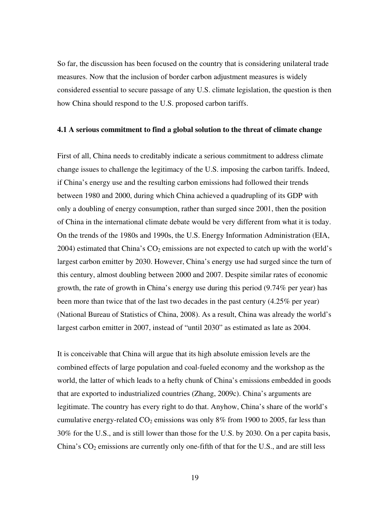So far, the discussion has been focused on the country that is considering unilateral trade measures. Now that the inclusion of border carbon adjustment measures is widely considered essential to secure passage of any U.S. climate legislation, the question is then how China should respond to the U.S. proposed carbon tariffs.

#### **4.1 A serious commitment to find a global solution to the threat of climate change**

First of all, China needs to creditably indicate a serious commitment to address climate change issues to challenge the legitimacy of the U.S. imposing the carbon tariffs. Indeed, if China's energy use and the resulting carbon emissions had followed their trends between 1980 and 2000, during which China achieved a quadrupling of its GDP with only a doubling of energy consumption, rather than surged since 2001, then the position of China in the international climate debate would be very different from what it is today. On the trends of the 1980s and 1990s, the U.S. Energy Information Administration (EIA, 2004) estimated that China's  $CO<sub>2</sub>$  emissions are not expected to catch up with the world's largest carbon emitter by 2030. However, China's energy use had surged since the turn of this century, almost doubling between 2000 and 2007. Despite similar rates of economic growth, the rate of growth in China's energy use during this period (9.74% per year) has been more than twice that of the last two decades in the past century (4.25% per year) (National Bureau of Statistics of China, 2008). As a result, China was already the world's largest carbon emitter in 2007, instead of "until 2030" as estimated as late as 2004.

It is conceivable that China will argue that its high absolute emission levels are the combined effects of large population and coal-fueled economy and the workshop as the world, the latter of which leads to a hefty chunk of China's emissions embedded in goods that are exported to industrialized countries (Zhang, 2009c). China's arguments are legitimate. The country has every right to do that. Anyhow, China's share of the world's cumulative energy-related  $CO<sub>2</sub>$  emissions was only 8% from 1900 to 2005, far less than 30% for the U.S., and is still lower than those for the U.S. by 2030. On a per capita basis, China's  $CO<sub>2</sub>$  emissions are currently only one-fifth of that for the U.S., and are still less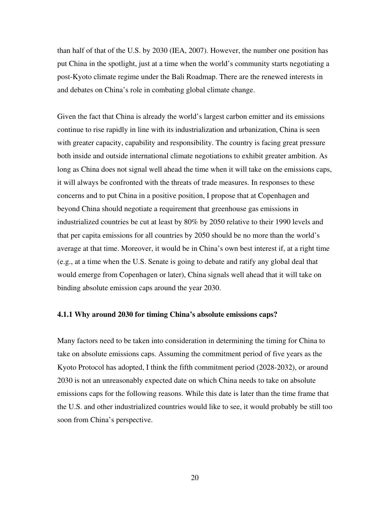than half of that of the U.S. by 2030 (IEA, 2007). However, the number one position has put China in the spotlight, just at a time when the world's community starts negotiating a post-Kyoto climate regime under the Bali Roadmap. There are the renewed interests in and debates on China's role in combating global climate change.

Given the fact that China is already the world's largest carbon emitter and its emissions continue to rise rapidly in line with its industrialization and urbanization, China is seen with greater capacity, capability and responsibility. The country is facing great pressure both inside and outside international climate negotiations to exhibit greater ambition. As long as China does not signal well ahead the time when it will take on the emissions caps, it will always be confronted with the threats of trade measures. In responses to these concerns and to put China in a positive position, I propose that at Copenhagen and beyond China should negotiate a requirement that greenhouse gas emissions in industrialized countries be cut at least by 80% by 2050 relative to their 1990 levels and that per capita emissions for all countries by 2050 should be no more than the world's average at that time. Moreover, it would be in China's own best interest if, at a right time (e.g., at a time when the U.S. Senate is going to debate and ratify any global deal that would emerge from Copenhagen or later), China signals well ahead that it will take on binding absolute emission caps around the year 2030.

#### **4.1.1 Why around 2030 for timing China's absolute emissions caps?**

Many factors need to be taken into consideration in determining the timing for China to take on absolute emissions caps. Assuming the commitment period of five years as the Kyoto Protocol has adopted, I think the fifth commitment period (2028-2032), or around 2030 is not an unreasonably expected date on which China needs to take on absolute emissions caps for the following reasons. While this date is later than the time frame that the U.S. and other industrialized countries would like to see, it would probably be still too soon from China's perspective.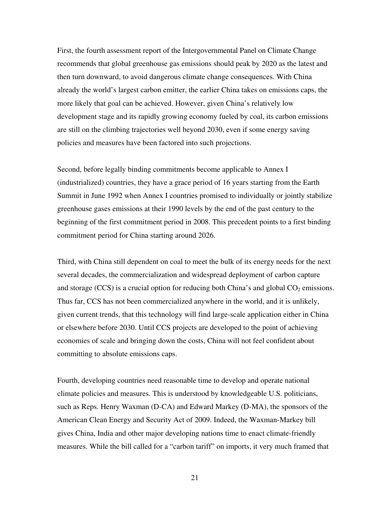First, the fourth assessment report of the Intergovernmental Panel on Climate Change recommends that global greenhouse gas emissions should peak by 2020 as the latest and then turn downward, to avoid dangerous climate change consequences. With China already the world's largest carbon emitter, the earlier China takes on emissions caps, the more likely that goal can be achieved. However, given China's relatively low development stage and its rapidly growing economy fueled by coal, its carbon emissions are still on the climbing trajectories well beyond 2030, even if some energy saving policies and measures have been factored into such projections.

Second, before legally binding commitments become applicable to Annex I (industrialized) countries, they have a grace period of 16 years starting from the Earth Summit in June 1992 when Annex I countries promised to individually or jointly stabilize greenhouse gases emissions at their 1990 levels by the end of the past century to the beginning of the first commitment period in 2008. This precedent points to a first binding commitment period for China starting around 2026.

Third, with China still dependent on coal to meet the bulk of its energy needs for the next several decades, the commercialization and widespread deployment of carbon capture and storage (CCS) is a crucial option for reducing both China's and global  $CO<sub>2</sub>$  emissions. Thus far, CCS has not been commercialized anywhere in the world, and it is unlikely, given current trends, that this technology will find large-scale application either in China or elsewhere before 2030. Until CCS projects are developed to the point of achieving economies of scale and bringing down the costs, China will not feel confident about committing to absolute emissions caps.

Fourth, developing countries need reasonable time to develop and operate national climate policies and measures. This is understood by knowledgeable U.S. politicians, such as Reps. Henry Waxman (D-CA) and Edward Markey (D-MA), the sponsors of the American Clean Energy and Security Act of 2009. Indeed, the Waxman-Markey bill gives China, India and other major developing nations time to enact climate-friendly measures. While the bill called for a "carbon tariff" on imports, it very much framed that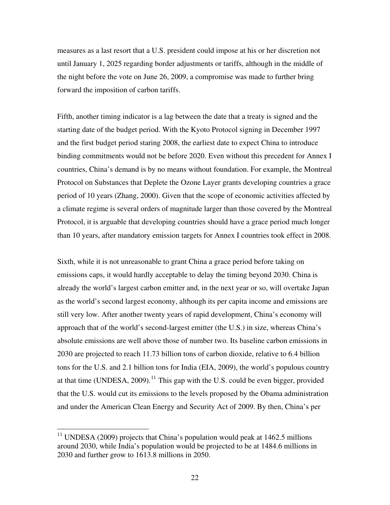measures as a last resort that a U.S. president could impose at his or her discretion not until January 1, 2025 regarding border adjustments or tariffs, although in the middle of the night before the vote on June 26, 2009, a compromise was made to further bring forward the imposition of carbon tariffs.

Fifth, another timing indicator is a lag between the date that a treaty is signed and the starting date of the budget period. With the Kyoto Protocol signing in December 1997 and the first budget period staring 2008, the earliest date to expect China to introduce binding commitments would not be before 2020. Even without this precedent for Annex I countries, China's demand is by no means without foundation. For example, the Montreal Protocol on Substances that Deplete the Ozone Layer grants developing countries a grace period of 10 years (Zhang, 2000). Given that the scope of economic activities affected by a climate regime is several orders of magnitude larger than those covered by the Montreal Protocol, it is arguable that developing countries should have a grace period much longer than 10 years, after mandatory emission targets for Annex I countries took effect in 2008.

Sixth, while it is not unreasonable to grant China a grace period before taking on emissions caps, it would hardly acceptable to delay the timing beyond 2030. China is already the world's largest carbon emitter and, in the next year or so, will overtake Japan as the world's second largest economy, although its per capita income and emissions are still very low. After another twenty years of rapid development, China's economy will approach that of the world's second-largest emitter (the U.S.) in size, whereas China's absolute emissions are well above those of number two. Its baseline carbon emissions in 2030 are projected to reach 11.73 billion tons of carbon dioxide, relative to 6.4 billion tons for the U.S. and 2.1 billion tons for India (EIA, 2009), the world's populous country at that time (UNDESA,  $2009$ ).<sup>[11](#page-22-0)</sup> This gap with the U.S. could be even bigger, provided that the U.S. would cut its emissions to the levels proposed by the Obama administration and under the American Clean Energy and Security Act of 2009. By then, China's per

<span id="page-22-0"></span> $11$  UNDESA (2009) projects that China's population would peak at 1462.5 millions around 2030, while India's population would be projected to be at 1484.6 millions in 2030 and further grow to 1613.8 millions in 2050.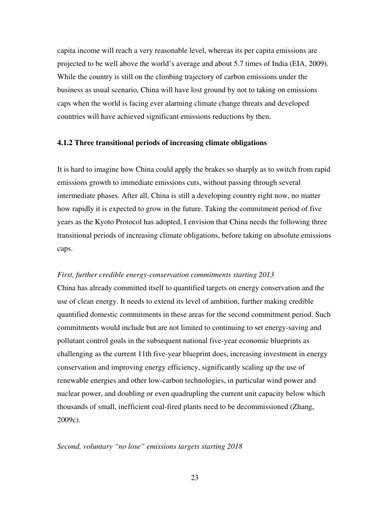capita income will reach a very reasonable level, whereas its per capita emissions are projected to be well above the world's average and about 5.7 times of India (EIA, 2009). While the country is still on the climbing trajectory of carbon emissions under the business as usual scenario, China will have lost ground by not to taking on emissions caps when the world is facing ever alarming climate change threats and developed countries will have achieved significant emissions reductions by then.

#### **4.1.2 Three transitional periods of increasing climate obligations**

It is hard to imagine how China could apply the brakes so sharply as to switch from rapid emissions growth to immediate emissions cuts, without passing through several intermediate phases. After all, China is still a developing country right now, no matter how rapidly it is expected to grow in the future. Taking the commitment period of five years as the Kyoto Protocol has adopted, I envision that China needs the following three transitional periods of increasing climate obligations, before taking on absolute emissions caps.

#### *First, further credible energy-conservation commitments starting 2013*

China has already committed itself to quantified targets on energy conservation and the use of clean energy. It needs to extend its level of ambition, further making credible quantified domestic commitments in these areas for the second commitment period. Such commitments would include but are not limited to continuing to set energy-saving and pollutant control goals in the subsequent national five-year economic blueprints as challenging as the current 11th five-year blueprint does, increasing investment in energy conservation and improving energy efficiency, significantly scaling up the use of renewable energies and other low-carbon technologies, in particular wind power and nuclear power, and doubling or even quadrupling the current unit capacity below which thousands of small, inefficient coal-fired plants need to be decommissioned (Zhang, 2009c).

#### *Second, voluntary "no lose" emissions targets starting 2018*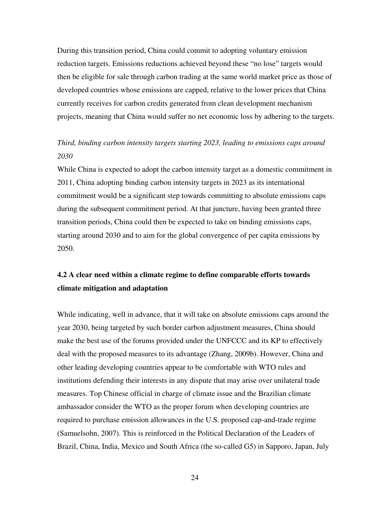During this transition period, China could commit to adopting voluntary emission reduction targets. Emissions reductions achieved beyond these "no lose" targets would then be eligible for sale through carbon trading at the same world market price as those of developed countries whose emissions are capped, relative to the lower prices that China currently receives for carbon credits generated from clean development mechanism projects, meaning that China would suffer no net economic loss by adhering to the targets.

## *Third, binding carbon intensity targets starting 2023, leading to emissions caps around 2030*

While China is expected to adopt the carbon intensity target as a domestic commitment in 2011, China adopting binding carbon intensity targets in 2023 as its international commitment would be a significant step towards committing to absolute emissions caps during the subsequent commitment period. At that juncture, having been granted three transition periods, China could then be expected to take on binding emissions caps, starting around 2030 and to aim for the global convergence of per capita emissions by 2050.

# **4.2 A clear need within a climate regime to define comparable efforts towards climate mitigation and adaptation**

While indicating, well in advance, that it will take on absolute emissions caps around the year 2030, being targeted by such border carbon adjustment measures, China should make the best use of the forums provided under the UNFCCC and its KP to effectively deal with the proposed measures to its advantage (Zhang, 2009b). However, China and other leading developing countries appear to be comfortable with WTO rules and institutions defending their interests in any dispute that may arise over unilateral trade measures. Top Chinese official in charge of climate issue and the Brazilian climate ambassador consider the WTO as the proper forum when developing countries are required to purchase emission allowances in the U.S. proposed cap-and-trade regime (Samuelsohn, 2007). This is reinforced in the Political Declaration of the Leaders of Brazil, China, India, Mexico and South Africa (the so-called G5) in Sapporo, Japan, July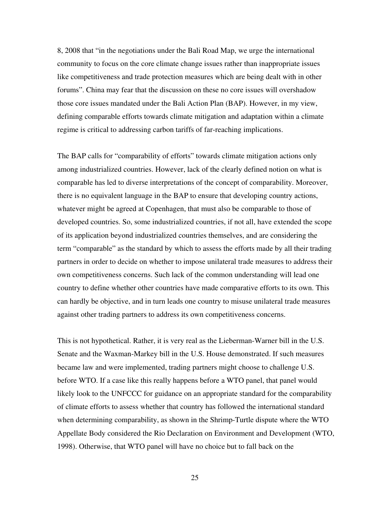8, 2008 that "in the negotiations under the Bali Road Map, we urge the international community to focus on the core climate change issues rather than inappropriate issues like competitiveness and trade protection measures which are being dealt with in other forums". China may fear that the discussion on these no core issues will overshadow those core issues mandated under the Bali Action Plan (BAP). However, in my view, defining comparable efforts towards climate mitigation and adaptation within a climate regime is critical to addressing carbon tariffs of far-reaching implications.

The BAP calls for "comparability of efforts" towards climate mitigation actions only among industrialized countries. However, lack of the clearly defined notion on what is comparable has led to diverse interpretations of the concept of comparability. Moreover, there is no equivalent language in the BAP to ensure that developing country actions, whatever might be agreed at Copenhagen, that must also be comparable to those of developed countries. So, some industrialized countries, if not all, have extended the scope of its application beyond industrialized countries themselves, and are considering the term "comparable" as the standard by which to assess the efforts made by all their trading partners in order to decide on whether to impose unilateral trade measures to address their own competitiveness concerns. Such lack of the common understanding will lead one country to define whether other countries have made comparative efforts to its own. This can hardly be objective, and in turn leads one country to misuse unilateral trade measures against other trading partners to address its own competitiveness concerns.

This is not hypothetical. Rather, it is very real as the Lieberman-Warner bill in the U.S. Senate and the Waxman-Markey bill in the U.S. House demonstrated. If such measures became law and were implemented, trading partners might choose to challenge U.S. before WTO. If a case like this really happens before a WTO panel, that panel would likely look to the UNFCCC for guidance on an appropriate standard for the comparability of climate efforts to assess whether that country has followed the international standard when determining comparability, as shown in the Shrimp-Turtle dispute where the WTO Appellate Body considered the Rio Declaration on Environment and Development (WTO, 1998). Otherwise, that WTO panel will have no choice but to fall back on the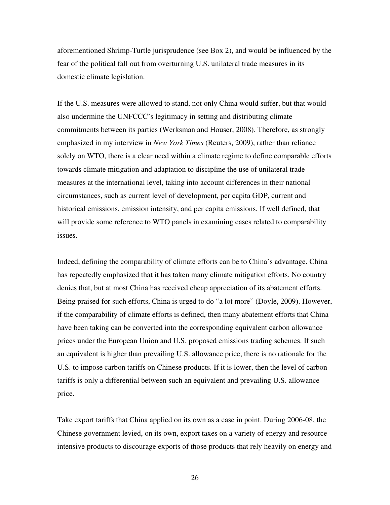aforementioned Shrimp-Turtle jurisprudence (see Box 2), and would be influenced by the fear of the political fall out from overturning U.S. unilateral trade measures in its domestic climate legislation.

If the U.S. measures were allowed to stand, not only China would suffer, but that would also undermine the UNFCCC's legitimacy in setting and distributing climate commitments between its parties (Werksman and Houser, 2008). Therefore, as strongly emphasized in my interview in *New York Times* (Reuters, 2009), rather than reliance solely on WTO, there is a clear need within a climate regime to define comparable efforts towards climate mitigation and adaptation to discipline the use of unilateral trade measures at the international level, taking into account differences in their national circumstances, such as current level of development, per capita GDP, current and historical emissions, emission intensity, and per capita emissions. If well defined, that will provide some reference to WTO panels in examining cases related to comparability issues.

Indeed, defining the comparability of climate efforts can be to China's advantage. China has repeatedly emphasized that it has taken many climate mitigation efforts. No country denies that, but at most China has received cheap appreciation of its abatement efforts. Being praised for such efforts, China is urged to do "a lot more" (Doyle, 2009). However, if the comparability of climate efforts is defined, then many abatement efforts that China have been taking can be converted into the corresponding equivalent carbon allowance prices under the European Union and U.S. proposed emissions trading schemes. If such an equivalent is higher than prevailing U.S. allowance price, there is no rationale for the U.S. to impose carbon tariffs on Chinese products. If it is lower, then the level of carbon tariffs is only a differential between such an equivalent and prevailing U.S. allowance price.

Take export tariffs that China applied on its own as a case in point. During 2006-08, the Chinese government levied, on its own, export taxes on a variety of energy and resource intensive products to discourage exports of those products that rely heavily on energy and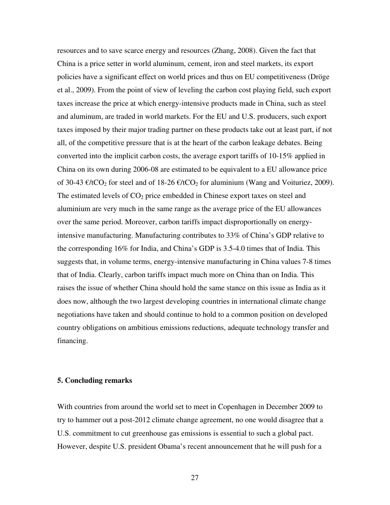resources and to save scarce energy and resources (Zhang, 2008). Given the fact that China is a price setter in world aluminum, cement, iron and steel markets, its export policies have a significant effect on world prices and thus on EU competitiveness (Dröge et al., 2009). From the point of view of leveling the carbon cost playing field, such export taxes increase the price at which energy-intensive products made in China, such as steel and aluminum, are traded in world markets. For the EU and U.S. producers, such export taxes imposed by their major trading partner on these products take out at least part, if not all, of the competitive pressure that is at the heart of the carbon leakage debates. Being converted into the implicit carbon costs, the average export tariffs of 10-15% applied in China on its own during 2006-08 are estimated to be equivalent to a EU allowance price of 30-43  $\epsilon$ /tCO<sub>2</sub> for steel and of 18-26  $\epsilon$ /tCO<sub>2</sub> for aluminium (Wang and Voituriez, 2009). The estimated levels of  $CO<sub>2</sub>$  price embedded in Chinese export taxes on steel and aluminium are very much in the same range as the average price of the EU allowances over the same period. Moreover, carbon tariffs impact disproportionally on energyintensive manufacturing. Manufacturing contributes to 33% of China's GDP relative to the corresponding 16% for India, and China's GDP is 3.5-4.0 times that of India. This suggests that, in volume terms, energy-intensive manufacturing in China values 7-8 times that of India. Clearly, carbon tariffs impact much more on China than on India. This raises the issue of whether China should hold the same stance on this issue as India as it does now, although the two largest developing countries in international climate change negotiations have taken and should continue to hold to a common position on developed country obligations on ambitious emissions reductions, adequate technology transfer and financing.

#### **5. Concluding remarks**

With countries from around the world set to meet in Copenhagen in December 2009 to try to hammer out a post-2012 climate change agreement, no one would disagree that a U.S. commitment to cut greenhouse gas emissions is essential to such a global pact. However, despite U.S. president Obama's recent announcement that he will push for a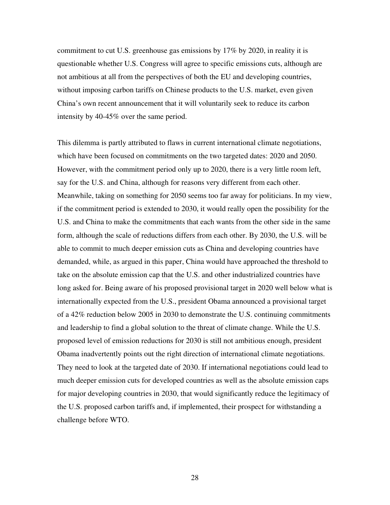commitment to cut U.S. greenhouse gas emissions by 17% by 2020, in reality it is questionable whether U.S. Congress will agree to specific emissions cuts, although are not ambitious at all from the perspectives of both the EU and developing countries, without imposing carbon tariffs on Chinese products to the U.S. market, even given China's own recent announcement that it will voluntarily seek to reduce its carbon intensity by 40-45% over the same period.

This dilemma is partly attributed to flaws in current international climate negotiations, which have been focused on commitments on the two targeted dates: 2020 and 2050. However, with the commitment period only up to 2020, there is a very little room left, say for the U.S. and China, although for reasons very different from each other. Meanwhile, taking on something for 2050 seems too far away for politicians. In my view, if the commitment period is extended to 2030, it would really open the possibility for the U.S. and China to make the commitments that each wants from the other side in the same form, although the scale of reductions differs from each other. By 2030, the U.S. will be able to commit to much deeper emission cuts as China and developing countries have demanded, while, as argued in this paper, China would have approached the threshold to take on the absolute emission cap that the U.S. and other industrialized countries have long asked for. Being aware of his proposed provisional target in 2020 well below what is internationally expected from the U.S., president Obama announced a provisional target of a 42% reduction below 2005 in 2030 to demonstrate the U.S. continuing commitments and leadership to find a global solution to the threat of climate change. While the U.S. proposed level of emission reductions for 2030 is still not ambitious enough, president Obama inadvertently points out the right direction of international climate negotiations. They need to look at the targeted date of 2030. If international negotiations could lead to much deeper emission cuts for developed countries as well as the absolute emission caps for major developing countries in 2030, that would significantly reduce the legitimacy of the U.S. proposed carbon tariffs and, if implemented, their prospect for withstanding a challenge before WTO.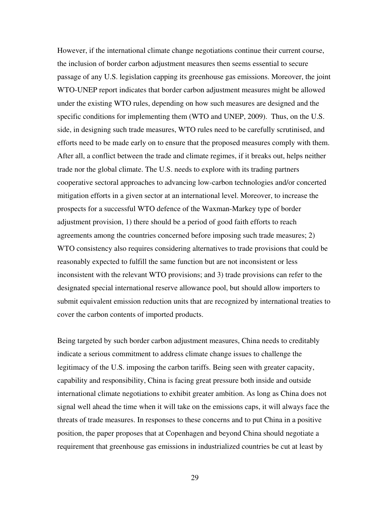However, if the international climate change negotiations continue their current course, the inclusion of border carbon adjustment measures then seems essential to secure passage of any U.S. legislation capping its greenhouse gas emissions. Moreover, the joint WTO-UNEP report indicates that border carbon adjustment measures might be allowed under the existing WTO rules, depending on how such measures are designed and the specific conditions for implementing them (WTO and UNEP, 2009). Thus, on the U.S. side, in designing such trade measures, WTO rules need to be carefully scrutinised, and efforts need to be made early on to ensure that the proposed measures comply with them. After all, a conflict between the trade and climate regimes, if it breaks out, helps neither trade nor the global climate. The U.S. needs to explore with its trading partners cooperative sectoral approaches to advancing low-carbon technologies and/or concerted mitigation efforts in a given sector at an international level. Moreover, to increase the prospects for a successful WTO defence of the Waxman-Markey type of border adjustment provision, 1) there should be a period of good faith efforts to reach agreements among the countries concerned before imposing such trade measures; 2) WTO consistency also requires considering alternatives to trade provisions that could be reasonably expected to fulfill the same function but are not inconsistent or less inconsistent with the relevant WTO provisions; and 3) trade provisions can refer to the designated special international reserve allowance pool, but should allow importers to submit equivalent emission reduction units that are recognized by international treaties to cover the carbon contents of imported products.

Being targeted by such border carbon adjustment measures, China needs to creditably indicate a serious commitment to address climate change issues to challenge the legitimacy of the U.S. imposing the carbon tariffs. Being seen with greater capacity, capability and responsibility, China is facing great pressure both inside and outside international climate negotiations to exhibit greater ambition. As long as China does not signal well ahead the time when it will take on the emissions caps, it will always face the threats of trade measures. In responses to these concerns and to put China in a positive position, the paper proposes that at Copenhagen and beyond China should negotiate a requirement that greenhouse gas emissions in industrialized countries be cut at least by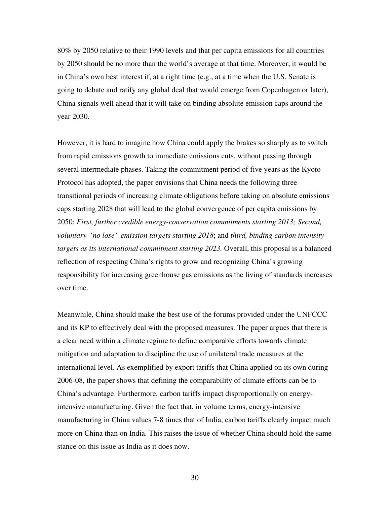80% by 2050 relative to their 1990 levels and that per capita emissions for all countries by 2050 should be no more than the world's average at that time. Moreover, it would be in China's own best interest if, at a right time (e.g., at a time when the U.S. Senate is going to debate and ratify any global deal that would emerge from Copenhagen or later), China signals well ahead that it will take on binding absolute emission caps around the year 2030.

However, it is hard to imagine how China could apply the brakes so sharply as to switch from rapid emissions growth to immediate emissions cuts, without passing through several intermediate phases. Taking the commitment period of five years as the Kyoto Protocol has adopted, the paper envisions that China needs the following three transitional periods of increasing climate obligations before taking on absolute emissions caps starting 2028 that will lead to the global convergence of per capita emissions by 2050: *First, further credible energy-conservation commitments starting 2013; Second, voluntary "no lose" emission targets starting 2018*; and *third, binding carbon intensity targets as its international commitment starting 2023.* Overall, this proposal is a balanced reflection of respecting China's rights to grow and recognizing China's growing responsibility for increasing greenhouse gas emissions as the living of standards increases over time.

Meanwhile, China should make the best use of the forums provided under the UNFCCC and its KP to effectively deal with the proposed measures. The paper argues that there is a clear need within a climate regime to define comparable efforts towards climate mitigation and adaptation to discipline the use of unilateral trade measures at the international level. As exemplified by export tariffs that China applied on its own during 2006-08, the paper shows that defining the comparability of climate efforts can be to China's advantage. Furthermore, carbon tariffs impact disproportionally on energyintensive manufacturing. Given the fact that, in volume terms, energy-intensive manufacturing in China values 7-8 times that of India, carbon tariffs clearly impact much more on China than on India. This raises the issue of whether China should hold the same stance on this issue as India as it does now.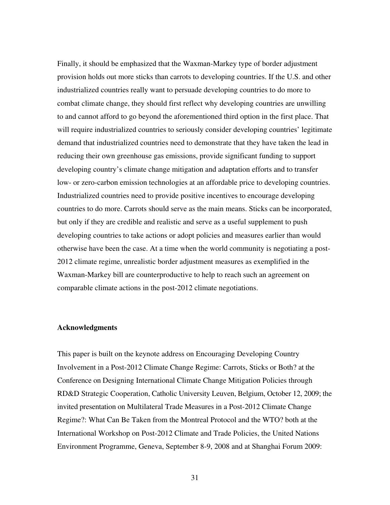Finally, it should be emphasized that the Waxman-Markey type of border adjustment provision holds out more sticks than carrots to developing countries. If the U.S. and other industrialized countries really want to persuade developing countries to do more to combat climate change, they should first reflect why developing countries are unwilling to and cannot afford to go beyond the aforementioned third option in the first place. That will require industrialized countries to seriously consider developing countries' legitimate demand that industrialized countries need to demonstrate that they have taken the lead in reducing their own greenhouse gas emissions, provide significant funding to support developing country's climate change mitigation and adaptation efforts and to transfer low- or zero-carbon emission technologies at an affordable price to developing countries. Industrialized countries need to provide positive incentives to encourage developing countries to do more. Carrots should serve as the main means. Sticks can be incorporated, but only if they are credible and realistic and serve as a useful supplement to push developing countries to take actions or adopt policies and measures earlier than would otherwise have been the case. At a time when the world community is negotiating a post-2012 climate regime, unrealistic border adjustment measures as exemplified in the Waxman-Markey bill are counterproductive to help to reach such an agreement on comparable climate actions in the post-2012 climate negotiations.

#### **Acknowledgments**

This paper is built on the keynote address on Encouraging Developing Country Involvement in a Post-2012 Climate Change Regime: Carrots, Sticks or Both? at the Conference on Designing International Climate Change Mitigation Policies through RD&D Strategic Cooperation, Catholic University Leuven, Belgium, October 12, 2009; the invited presentation on Multilateral Trade Measures in a Post-2012 Climate Change Regime?: What Can Be Taken from the Montreal Protocol and the WTO? both at the International Workshop on Post-2012 Climate and Trade Policies, the United Nations Environment Programme, Geneva, September 8-9, 2008 and at Shanghai Forum 2009: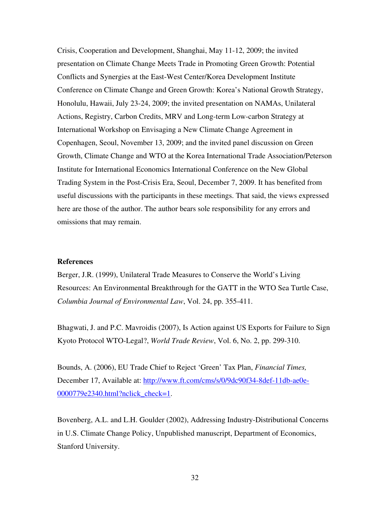Crisis, Cooperation and Development, Shanghai, May 11-12, 2009; the invited presentation on Climate Change Meets Trade in Promoting Green Growth: Potential Conflicts and Synergies at the East-West Center/Korea Development Institute Conference on Climate Change and Green Growth: Korea's National Growth Strategy, Honolulu, Hawaii, July 23-24, 2009; the invited presentation on NAMAs, Unilateral Actions, Registry, Carbon Credits, MRV and Long-term Low-carbon Strategy at International Workshop on Envisaging a New Climate Change Agreement in Copenhagen, Seoul, November 13, 2009; and the invited panel discussion on Green Growth, Climate Change and WTO at the Korea International Trade Association/Peterson Institute for International Economics International Conference on the New Global Trading System in the Post-Crisis Era, Seoul, December 7, 2009. It has benefited from useful discussions with the participants in these meetings. That said, the views expressed here are those of the author. The author bears sole responsibility for any errors and omissions that may remain.

#### **References**

Berger, J.R. (1999), Unilateral Trade Measures to Conserve the World's Living Resources: An Environmental Breakthrough for the GATT in the WTO Sea Turtle Case, *Columbia Journal of Environmental Law*, Vol. 24, pp. 355-411.

Bhagwati, J. and P.C. Mavroidis (2007), Is Action against US Exports for Failure to Sign Kyoto Protocol WTO-Legal?, *World Trade Review*, Vol. 6, No. 2, pp. 299-310.

Bounds, A. (2006), EU Trade Chief to Reject 'Green' Tax Plan, *Financial Times,*  December 17, Available at: [http://www.ft.com/cms/s/0/9dc90f34-8def-11db-ae0e-](http://www.ft.com/cms/s/0/9dc90f34-8def-11db-ae0e-0000779e2340.html?nclick_check=1)[0000779e2340.html?nclick\\_check=1.](http://www.ft.com/cms/s/0/9dc90f34-8def-11db-ae0e-0000779e2340.html?nclick_check=1)

Bovenberg, A.L. and L.H. Goulder (2002), Addressing Industry-Distributional Concerns in U.S. Climate Change Policy, Unpublished manuscript, Department of Economics, Stanford University.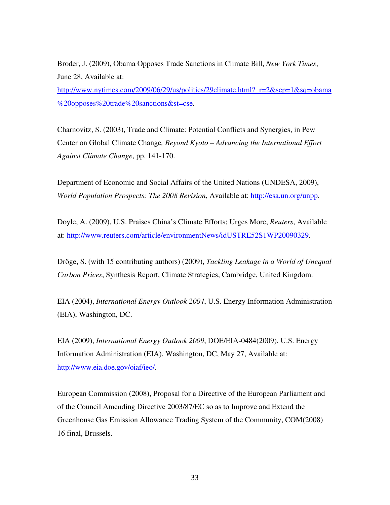Broder, J. (2009), Obama Opposes Trade Sanctions in Climate Bill, *New York Times*, June 28, Available at: [http://www.nytimes.com/2009/06/29/us/politics/29climate.html?\\_r=2&scp=1&sq=obama](http://www.nytimes.com/2009/06/29/us/politics/29climate.html?_r=2&scp=1&sq=obama%20opposes%20trade%20sanctions&st=cse)

[%20opposes%20trade%20sanctions&st=cse.](http://www.nytimes.com/2009/06/29/us/politics/29climate.html?_r=2&scp=1&sq=obama%20opposes%20trade%20sanctions&st=cse)

Charnovitz, S. (2003), Trade and Climate: Potential Conflicts and Synergies, in Pew Center on Global Climate Change*, Beyond Kyoto – Advancing the International Effort Against Climate Change*, pp. 141-170.

Department of Economic and Social Affairs of the United Nations (UNDESA, 2009), *World Population Prospects: The 2008 Revision*, Available at: [http://esa.un.org/unpp.](http://esa.un.org/unpp)

Doyle, A. (2009), U.S. Praises China's Climate Efforts; Urges More, *Reuters*, Available at: [http://www.reuters.com/article/environmentNews/idUSTRE52S1WP20090329.](http://www.reuters.com/article/environmentNews/idUSTRE52S1WP20090329)

Dröge, S. (with 15 contributing authors) (2009), *Tackling Leakage in a World of Unequal Carbon Prices*, Synthesis Report, Climate Strategies, Cambridge, United Kingdom.

EIA (2004), *International Energy Outlook 2004*, U.S. Energy Information Administration (EIA), Washington, DC.

EIA (2009), *International Energy Outlook 2009*, DOE/EIA-0484(2009), U.S. Energy Information Administration (EIA), Washington, DC, May 27, Available at: <http://www.eia.doe.gov/oiaf/ieo/>.

European Commission (2008), Proposal for a Directive of the European Parliament and of the Council Amending Directive 2003/87/EC so as to Improve and Extend the Greenhouse Gas Emission Allowance Trading System of the Community, COM(2008) 16 final, Brussels.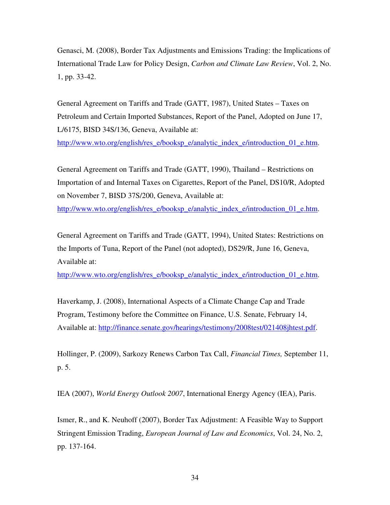Genasci, M. (2008), Border Tax Adjustments and Emissions Trading: the Implications of International Trade Law for Policy Design, *Carbon and Climate Law Review*, Vol. 2, No. 1, pp. 33-42.

General Agreement on Tariffs and Trade (GATT, 1987), United States – Taxes on Petroleum and Certain Imported Substances, Report of the Panel, Adopted on June 17, L/6175, BISD 34S/136, Geneva, Available at:

[http://www.wto.org/english/res\\_e/booksp\\_e/analytic\\_index\\_e/introduction\\_01\\_e.htm.](http://www.wto.org/english/res_e/booksp_e/analytic_index_e/introduction_01_e.htm)

General Agreement on Tariffs and Trade (GATT, 1990), Thailand – Restrictions on Importation of and Internal Taxes on Cigarettes, Report of the Panel, DS10/R, Adopted on November 7, BISD 37S/200, Geneva, Available at:

[http://www.wto.org/english/res\\_e/booksp\\_e/analytic\\_index\\_e/introduction\\_01\\_e.htm.](http://www.wto.org/english/res_e/booksp_e/analytic_index_e/introduction_01_e.htm)

General Agreement on Tariffs and Trade (GATT, 1994), United States: Restrictions on the Imports of Tuna, Report of the Panel (not adopted), DS29/R, June 16, Geneva, Available at:

[http://www.wto.org/english/res\\_e/booksp\\_e/analytic\\_index\\_e/introduction\\_01\\_e.htm.](http://www.wto.org/english/res_e/booksp_e/analytic_index_e/introduction_01_e.htm)

Haverkamp, J. (2008), International Aspects of a Climate Change Cap and Trade Program, Testimony before the Committee on Finance, U.S. Senate, February 14, Available at: [http://finance.senate.gov/hearings/testimony/2008test/021408jhtest.pdf.](http://finance.senate.gov/hearings/testimony/2008test/021408jhtest.pdf)

Hollinger, P. (2009), Sarkozy Renews Carbon Tax Call, *Financial Times,* September 11, p. 5.

IEA (2007), *World Energy Outlook 2007*, International Energy Agency (IEA), Paris.

Ismer, R., and K. Neuhoff (2007), Border Tax Adjustment: A Feasible Way to Support Stringent Emission Trading, *European Journal of Law and Economics*, Vol. 24, No. 2, pp. 137-164.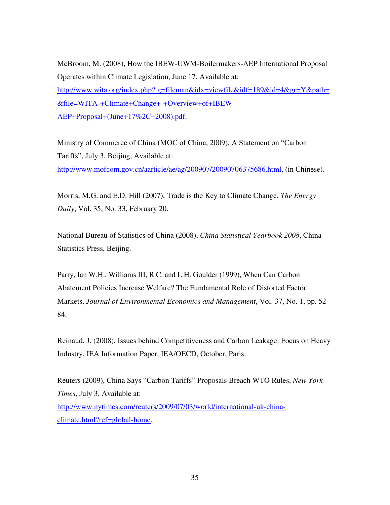McBroom, M. (2008), How the IBEW-UWM-Boilermakers-AEP International Proposal Operates within Climate Legislation, June 17, Available at: [http://www.wita.org/index.php?tg=fileman&idx=viewfile&idf=189&id=4&gr=Y&path=](http://www.wita.org/index.php?tg=fileman&idx=viewfile&idf=189&id=4&gr=Y&path=&file=WITA-+Climate+Change+-+Overview+of+IBEW-AEP+Proposal+(June+17%2C+2008).pdf) [&file=WITA-+Climate+Change+-+Overview+of+IBEW-](http://www.wita.org/index.php?tg=fileman&idx=viewfile&idf=189&id=4&gr=Y&path=&file=WITA-+Climate+Change+-+Overview+of+IBEW-AEP+Proposal+(June+17%2C+2008).pdf)[AEP+Proposal+\(June+17%2C+2008\).pdf.](http://www.wita.org/index.php?tg=fileman&idx=viewfile&idf=189&id=4&gr=Y&path=&file=WITA-+Climate+Change+-+Overview+of+IBEW-AEP+Proposal+(June+17%2C+2008).pdf)

Ministry of Commerce of China (MOC of China, 2009), A Statement on "Carbon Tariffs", July 3, Beijing, Available at: [http://www.mofcom.gov.cn/aarticle/ae/ag/200907/20090706375686.html,](http://www.mofcom.gov.cn/aarticle/ae/ag/200907/20090706375686.html) (in Chinese).

Morris, M.G. and E.D. Hill (2007), Trade is the Key to Climate Change, *The Energy Daily*, Vol. 35, No. 33, February 20.

National Bureau of Statistics of China (2008), *China Statistical Yearbook 2008*, China Statistics Press, Beijing.

Parry, Ian W.H., Williams III, R.C. and L.H. Goulder (1999), When Can Carbon Abatement Policies Increase Welfare? The Fundamental Role of Distorted Factor Markets, *Journal of Environmental Economics and Management*, Vol. 37, No. 1, pp. 52- 84.

Reinaud, J. (2008), Issues behind Competitiveness and Carbon Leakage: Focus on Heavy Industry, IEA Information Paper, IEA/OECD, October, Paris.

Reuters (2009), China Says "Carbon Tariffs" Proposals Breach WTO Rules, *New York Times*, July 3, Available at: [http://www.nytimes.com/reuters/2009/07/03/world/international-uk-china](http://www.nytimes.com/reuters/2009/07/03/world/international-uk-china-climate.html?ref=global-home)[climate.html?ref=global-home](http://www.nytimes.com/reuters/2009/07/03/world/international-uk-china-climate.html?ref=global-home).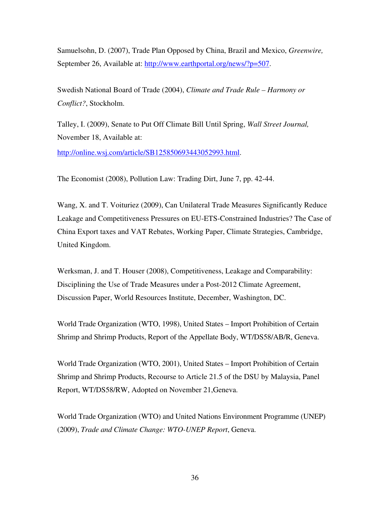Samuelsohn, D. (2007), Trade Plan Opposed by China, Brazil and Mexico, *Greenwire,*  September 26, Available at: [http://www.earthportal.org/news/?p=507.](http://www.earthportal.org/news/?p=507)

Swedish National Board of Trade (2004), *Climate and Trade Rule – Harmony or Conflict?*, Stockholm.

Talley, I. (2009), Senate to Put Off Climate Bill Until Spring, *Wall Street Journal,*  November 18, Available at:

<http://online.wsj.com/article/SB125850693443052993.html>.

The Economist (2008), Pollution Law: Trading Dirt, June 7, pp. 42-44.

Wang, X. and T. Voituriez (2009), Can Unilateral Trade Measures Significantly Reduce Leakage and Competitiveness Pressures on EU-ETS-Constrained Industries? The Case of China Export taxes and VAT Rebates, Working Paper, Climate Strategies, Cambridge, United Kingdom.

Werksman, J. and T. Houser (2008), Competitiveness, Leakage and Comparability: Disciplining the Use of Trade Measures under a Post-2012 Climate Agreement, Discussion Paper, World Resources Institute, December, Washington, DC.

World Trade Organization (WTO, 1998), United States – Import Prohibition of Certain Shrimp and Shrimp Products, Report of the Appellate Body, WT/DS58/AB/R, Geneva.

World Trade Organization (WTO, 2001), United States – Import Prohibition of Certain Shrimp and Shrimp Products, Recourse to Article 21.5 of the DSU by Malaysia, Panel Report, WT/DS58/RW, Adopted on November 21,Geneva.

World Trade Organization (WTO) and United Nations Environment Programme (UNEP) (2009), *Trade and Climate Change: WTO-UNEP Report*, Geneva.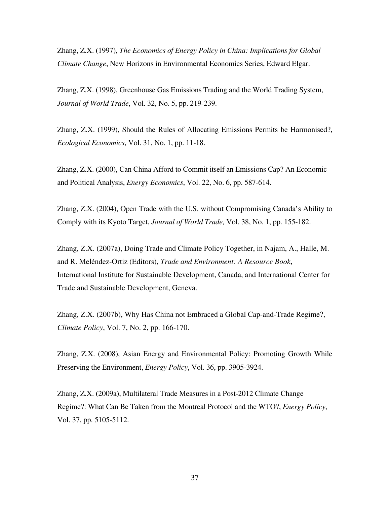Zhang, Z.X. (1997), *The Economics of Energy Policy in China: Implications for Global Climate Change*, New Horizons in Environmental Economics Series, Edward Elgar.

Zhang, Z.X. (1998), Greenhouse Gas Emissions Trading and the World Trading System, *Journal of World Trade*, Vol. 32, No. 5, pp. 219-239.

Zhang, Z.X. (1999), Should the Rules of Allocating Emissions Permits be Harmonised?, *Ecological Economics*, Vol. 31, No. 1, pp. 11-18.

Zhang, Z.X. (2000), Can China Afford to Commit itself an Emissions Cap? An Economic and Political Analysis, *Energy Economics*, Vol. 22, No. 6, pp. 587-614.

Zhang, Z.X. (2004), Open Trade with the U.S. without Compromising Canada's Ability to Comply with its Kyoto Target, *Journal of World Trade,* Vol. 38, No. 1, pp. 155-182.

Zhang, Z.X. (2007a), Doing Trade and Climate Policy Together, in Najam, A., Halle, M. and R. Meléndez-Ortiz (Editors), *Trade and Environment: A Resource Book*, International Institute for Sustainable Development, Canada, and International Center for Trade and Sustainable Development, Geneva.

Zhang, Z.X. (2007b), Why Has China not Embraced a Global Cap-and-Trade Regime?, *Climate Policy*, Vol. 7, No. 2, pp. 166-170.

Zhang, Z.X. (2008), Asian Energy and Environmental Policy: Promoting Growth While Preserving the Environment, *Energy Policy*, Vol. 36, pp. 3905-3924.

Zhang, Z.X. (2009a), Multilateral Trade Measures in a Post-2012 Climate Change Regime?: What Can Be Taken from the Montreal Protocol and the WTO?, *Energy Policy*, Vol. 37, pp. 5105-5112.